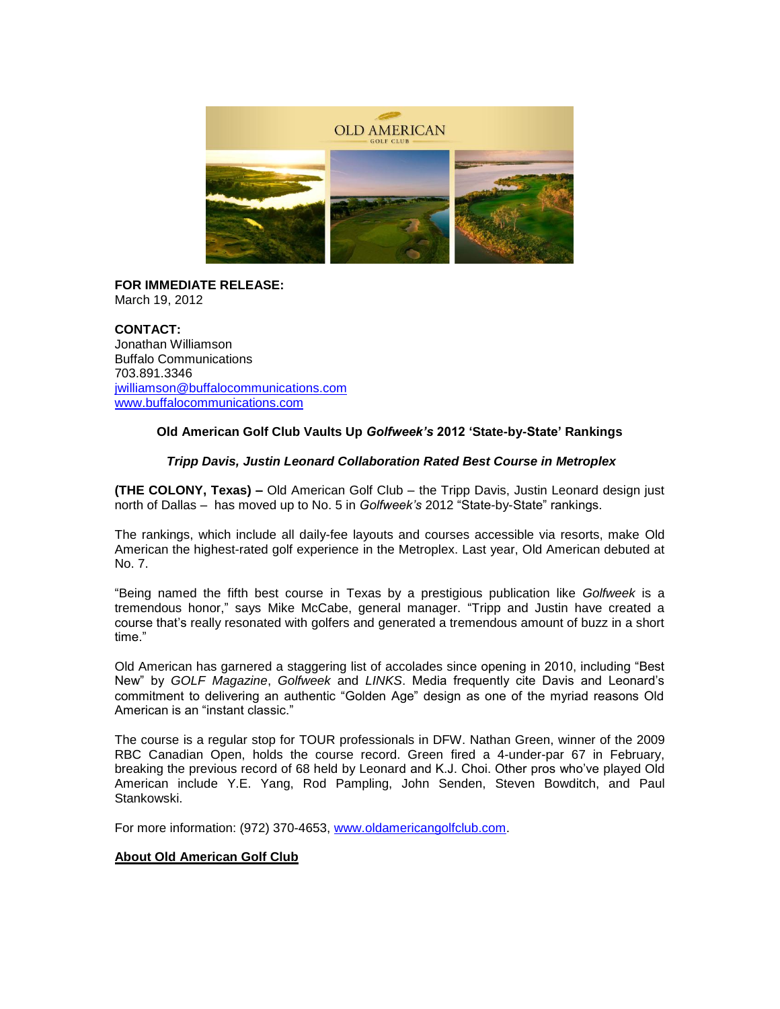

**FOR IMMEDIATE RELEASE:** March 19, 2012

**CONTACT:** Jonathan Williamson Buffalo Communications 703.891.3346 [jwilliamson@buffalocommunications.com](mailto:jwilliamson@buffalocommunications.com) [www.buffalocommunications.com](http://www.buffalocommunications.com/)

## **Old American Golf Club Vaults Up** *Golfweek's* **2012 'State-by-State' Rankings**

## *Tripp Davis, Justin Leonard Collaboration Rated Best Course in Metroplex*

**(THE COLONY, Texas) –** Old American Golf Club – the Tripp Davis, Justin Leonard design just north of Dallas – has moved up to No. 5 in *Golfweek's* 2012 "State-by-State" rankings.

The rankings, which include all daily-fee layouts and courses accessible via resorts, make Old American the highest-rated golf experience in the Metroplex. Last year, Old American debuted at No. 7.

"Being named the fifth best course in Texas by a prestigious publication like *Golfweek* is a tremendous honor," says Mike McCabe, general manager. "Tripp and Justin have created a course that's really resonated with golfers and generated a tremendous amount of buzz in a short time."

Old American has garnered a staggering list of accolades since opening in 2010, including "Best New" by *GOLF Magazine*, *Golfweek* and *LINKS*. Media frequently cite Davis and Leonard's commitment to delivering an authentic "Golden Age" design as one of the myriad reasons Old American is an "instant classic."

The course is a regular stop for TOUR professionals in DFW. Nathan Green, winner of the 2009 RBC Canadian Open, holds the course record. Green fired a 4-under-par 67 in February, breaking the previous record of 68 held by Leonard and K.J. Choi. Other pros who've played Old American include Y.E. Yang, Rod Pampling, John Senden, Steven Bowditch, and Paul Stankowski.

For more information: (972) 370-4653, [www.oldamericangolfclub.com.](http://www.oldamericangolfclub.com/)

## **About Old American Golf Club**